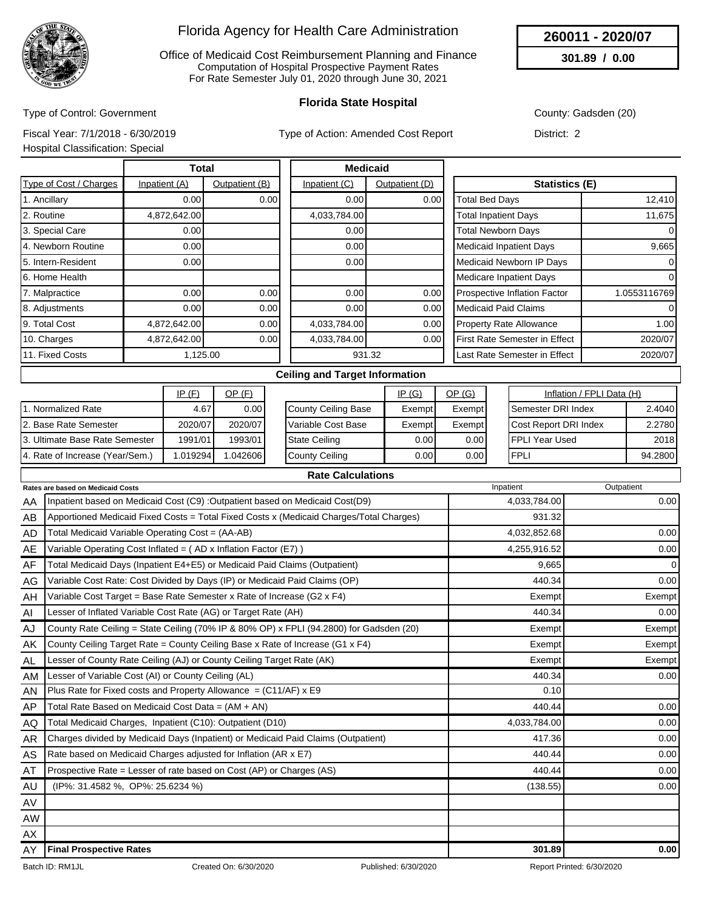

Office of Medicaid Cost Reimbursement Planning and Finance Computation of Hospital Prospective Payment Rates For Rate Semester July 01, 2020 through June 30, 2021

### **Florida State Hospital**

County: Gadsden (20)

**260011 - 2020/07 301.89 / 0.00**

Type of Control: Government Fiscal Year: 7/1/2018 - 6/30/2019

Type of Action: Amended Cost Report

Hospital Classification: Special

District: 2

| Type of Cost / Charges<br>1. Ancillary | Inpatient (A)<br>0.00<br>4,872,642.00 | Outpatient (B)<br>0.00 | Inpatient (C)<br>0.00 | Outpatient (D)<br>0.00 | <b>Statistics (E)</b><br>Total Bed Days | 12,410       |
|----------------------------------------|---------------------------------------|------------------------|-----------------------|------------------------|-----------------------------------------|--------------|
|                                        |                                       |                        |                       |                        |                                         |              |
|                                        |                                       |                        |                       |                        |                                         |              |
| 2. Routine                             |                                       |                        | 4,033,784.00          |                        | <b>Total Inpatient Days</b>             | 11,675       |
| 3. Special Care                        | 0.001                                 |                        | 0.00                  |                        | <b>Total Newborn Days</b>               | $\Omega$     |
| 4. Newborn Routine                     | 0.00                                  |                        | 0.00                  |                        | <b>Medicaid Inpatient Days</b>          | 9,665        |
| 5. Intern-Resident                     | 0.00                                  |                        | 0.00                  |                        | Medicaid Newborn IP Days                | 0            |
| 6. Home Health                         |                                       |                        |                       |                        | Medicare Inpatient Days                 | 0            |
| 7. Malpractice                         | 0.001                                 | 0.00                   | 0.00                  | 0.00                   | Prospective Inflation Factor            | 1.0553116769 |
| 8. Adjustments                         | 0.00                                  | 0.00                   | 0.00                  | 0.00                   | <b>Medicaid Paid Claims</b>             | $\Omega$     |
| 9. Total Cost                          | 4,872,642.00                          | 0.00                   | 4,033,784.00          | 0.00                   | <b>Property Rate Allowance</b>          | 1.00         |
| 10. Charges                            | 4,872,642.00                          | 0.00                   | 4,033,784.00          | 0.00                   | First Rate Semester in Effect           | 2020/07      |
| 11. Fixed Costs                        | 1,125.00                              |                        |                       | 931.32                 | Last Rate Semester in Effect            | 2020/07      |

|                                 | IP(F)   | OP (F)  |                        | IP(G)  | <u>OP (G)</u>     | Inflation / FPLI Data (H)    |         |
|---------------------------------|---------|---------|------------------------|--------|-------------------|------------------------------|---------|
| Normalized Rate                 | 4.67    | 0.001   | County Ceiling Base    | Exempt | Exempt            | <b>Semester DRI Index</b>    | 2.4040  |
| 2. Base Rate Semester           | 2020/07 | 2020/07 | l Variable Cost Base   | Exempt | Exempt            | <b>Cost Report DRI Index</b> | 2.2780  |
| 3. Ultimate Base Rate Semester  | 1991/01 | 1993/01 | <b>I</b> State Ceiling | 0.00 l | 0.00 <sub>l</sub> | IFPLI Year Used              | 2018    |
| 4. Rate of Increase (Year/Sem.) | .019294 | .042606 | County Ceiling         | 0.00 l | 0.001             | <b>FPLI</b>                  | 94.2800 |

|           | <b>Rate Calculations</b>                                                                |              |            |
|-----------|-----------------------------------------------------------------------------------------|--------------|------------|
|           | Rates are based on Medicaid Costs                                                       | Inpatient    | Outpatient |
| AA        | Inpatient based on Medicaid Cost (C9) : Outpatient based on Medicaid Cost(D9)           | 4,033,784.00 | 0.00       |
| AB        | Apportioned Medicaid Fixed Costs = Total Fixed Costs x (Medicaid Charges/Total Charges) | 931.32       |            |
| AD        | Total Medicaid Variable Operating Cost = (AA-AB)                                        | 4,032,852.68 | 0.00       |
| AE        | Variable Operating Cost Inflated = (AD x Inflation Factor (E7))                         | 4,255,916.52 | 0.00       |
| AF        | Total Medicaid Days (Inpatient E4+E5) or Medicaid Paid Claims (Outpatient)              | 9,665        | 0          |
| AG.       | Variable Cost Rate: Cost Divided by Days (IP) or Medicaid Paid Claims (OP)              | 440.34       | 0.00       |
| AH        | Variable Cost Target = Base Rate Semester x Rate of Increase (G2 x F4)                  | Exempt       | Exempt     |
| AI        | Lesser of Inflated Variable Cost Rate (AG) or Target Rate (AH)                          | 440.34       | 0.00       |
| AJ        | County Rate Ceiling = State Ceiling (70% IP & 80% OP) x FPLI (94.2800) for Gadsden (20) | Exempt       | Exempt     |
| AK        | County Ceiling Target Rate = County Ceiling Base x Rate of Increase (G1 x F4)           | Exempt       | Exempt     |
| AL.       | Lesser of County Rate Ceiling (AJ) or County Ceiling Target Rate (AK)                   | Exempt       | Exempt     |
| AM        | Lesser of Variable Cost (AI) or County Ceiling (AL)                                     | 440.34       | 0.00       |
| AN        | Plus Rate for Fixed costs and Property Allowance = $(C11/AF)$ x E9                      | 0.10         |            |
| AP        | Total Rate Based on Medicaid Cost Data = (AM + AN)                                      | 440.44       | 0.00       |
| AQ        | Total Medicaid Charges, Inpatient (C10): Outpatient (D10)                               | 4,033,784.00 | 0.00       |
| <b>AR</b> | Charges divided by Medicaid Days (Inpatient) or Medicaid Paid Claims (Outpatient)       | 417.36       | 0.00       |
| AS        | Rate based on Medicaid Charges adjusted for Inflation (AR x E7)                         | 440.44       | 0.00       |
| AT        | Prospective Rate = Lesser of rate based on Cost (AP) or Charges (AS)                    | 440.44       | 0.00       |
| AU        | (IP%: 31.4582 %, OP%: 25.6234 %)                                                        | (138.55)     | 0.00       |
| AV        |                                                                                         |              |            |
| <b>AW</b> |                                                                                         |              |            |
| AX        |                                                                                         |              |            |
| AY        | <b>Final Prospective Rates</b>                                                          | 301.89       | 0.00       |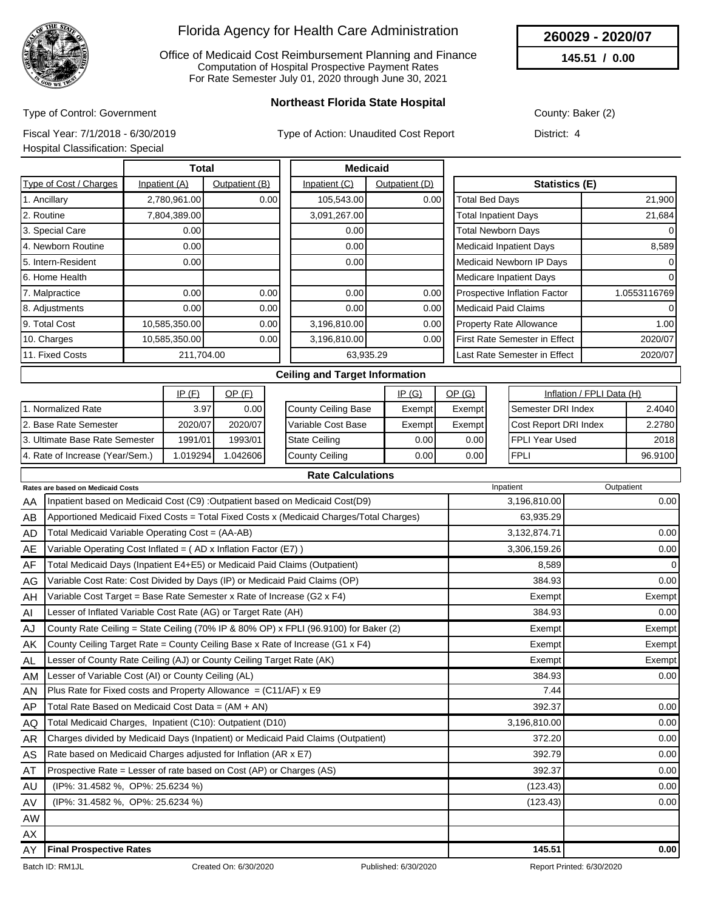

Office of Medicaid Cost Reimbursement Planning and Finance Computation of Hospital Prospective Payment Rates For Rate Semester July 01, 2020 through June 30, 2021

**260029 - 2020/07**

**145.51 / 0.00**

Type of Control: Government

**Northeast Florida State Hospital**

County: Baker (2)

Fiscal Year: 7/1/2018 - 6/30/2019

Type of Action: Unaudited Cost Report

|  | Hospital Classification: Special |  |  |
|--|----------------------------------|--|--|
|  |                                  |  |  |

District: 4

|                        | <b>Total</b>  |                |               | <b>Medicaid</b> |                                         |              |
|------------------------|---------------|----------------|---------------|-----------------|-----------------------------------------|--------------|
| Type of Cost / Charges | Inpatient (A) | Outpatient (B) | Inpatient (C) | Outpatient (D)  | Statistics (E)                          |              |
| 1. Ancillary           | 2,780,961.00  | 0.00           | 105,543.00    | 0.00            | <b>Total Bed Days</b>                   | 21,900       |
| 2. Routine             | 7,804,389.00  |                | 3,091,267.00  |                 | <b>Total Inpatient Days</b>             | 21,684       |
| 3. Special Care        | 0.00          |                | 0.00          |                 | <b>Total Newborn Days</b>               | $\Omega$     |
| 4. Newborn Routine     | 0.00          |                | 0.00          |                 | <b>Medicaid Inpatient Days</b>          | 8,589        |
| 5. Intern-Resident     | 0.00          |                | 0.00          |                 | Medicaid Newborn IP Days                | 0            |
| 6. Home Health         |               |                |               |                 | <b>Medicare Inpatient Days</b>          | 0            |
| 7. Malpractice         | 0.00          | 0.00           | 0.00          | 0.00            | Prospective Inflation Factor            | 1.0553116769 |
| 8. Adjustments         | 0.00          | 0.00           | 0.00          | 0.00            | <b>Medicaid Paid Claims</b>             | $\Omega$     |
| 9. Total Cost          | 10,585,350.00 | 0.00           | 3,196,810.00  | 0.00            | <b>Property Rate Allowance</b>          | 1.00         |
| 10. Charges            | 10,585,350.00 | 0.00           | 3,196,810.00  | 0.00            | <b>First Rate Semester in Effect</b>    | 2020/07      |
| 11. Fixed Costs        | 211,704.00    |                |               | 63,935.29       | 2020/07<br>Last Rate Semester in Effect |              |

|                                 | IP(F)    | <u>OP (F)</u> |                      | IP(G)             | OP(G)  | Inflation / FPLI Data (H)    |         |
|---------------------------------|----------|---------------|----------------------|-------------------|--------|------------------------------|---------|
| . Normalized Rate               | 3.97     | 0.00          | County Ceiling Base  | Exempt            | Exempt | Semester DRI Index           | 2.4040  |
| 2. Base Rate Semester           | 2020/07  | 2020/07       | l Variable Cost Base | Exempt            | Exempt | <b>Cost Report DRI Index</b> | 2.2780  |
| 13. Ultimate Base Rate Semester | 1991/01  | 1993/01       | <b>State Ceiling</b> | 0.00 <sub>l</sub> | 0.00   | <b>IFPLI Year Used</b>       | 2018    |
| 4. Rate of Increase (Year/Sem.) | 1.019294 | .042606       | County Ceiling       | 0.00 l            | 0.00 l | <b>IFPLI</b>                 | 96.9100 |

|           | <b>Rate Calculations</b>                                                                |              |             |
|-----------|-----------------------------------------------------------------------------------------|--------------|-------------|
|           | Rates are based on Medicaid Costs                                                       | Inpatient    | Outpatient  |
| AA        | Inpatient based on Medicaid Cost (C9) : Outpatient based on Medicaid Cost(D9)           | 3,196,810.00 | 0.00        |
| AB        | Apportioned Medicaid Fixed Costs = Total Fixed Costs x (Medicaid Charges/Total Charges) | 63,935.29    |             |
| AD        | Total Medicaid Variable Operating Cost = (AA-AB)                                        | 3,132,874.71 | 0.00        |
| AE        | Variable Operating Cost Inflated = (AD x Inflation Factor (E7))                         | 3,306,159.26 | 0.00        |
| AF        | Total Medicaid Days (Inpatient E4+E5) or Medicaid Paid Claims (Outpatient)              | 8,589        | $\mathbf 0$ |
| AG        | Variable Cost Rate: Cost Divided by Days (IP) or Medicaid Paid Claims (OP)              | 384.93       | 0.00        |
| AH        | Variable Cost Target = Base Rate Semester x Rate of Increase (G2 x F4)                  | Exempt       | Exempt      |
| AI        | Lesser of Inflated Variable Cost Rate (AG) or Target Rate (AH)                          | 384.93       | 0.00        |
| AJ        | County Rate Ceiling = State Ceiling (70% IP & 80% OP) x FPLI (96.9100) for Baker (2)    | Exempt       | Exempt      |
| AK        | County Ceiling Target Rate = County Ceiling Base x Rate of Increase (G1 x F4)           | Exempt       | Exempt      |
| AL        | Lesser of County Rate Ceiling (AJ) or County Ceiling Target Rate (AK)                   | Exempt       | Exempt      |
| AM.       | Lesser of Variable Cost (AI) or County Ceiling (AL)                                     | 384.93       | 0.00        |
| AN        | Plus Rate for Fixed costs and Property Allowance = $(C11/AF)$ x E9                      | 7.44         |             |
| AP        | Total Rate Based on Medicaid Cost Data = $(AM + AN)$                                    | 392.37       | 0.00        |
| AQ        | Total Medicaid Charges, Inpatient (C10): Outpatient (D10)                               | 3,196,810.00 | 0.00        |
| AR        | Charges divided by Medicaid Days (Inpatient) or Medicaid Paid Claims (Outpatient)       | 372.20       | 0.00        |
| AS        | Rate based on Medicaid Charges adjusted for Inflation (AR x E7)                         | 392.79       | 0.00        |
| AT        | Prospective Rate = Lesser of rate based on Cost (AP) or Charges (AS)                    | 392.37       | 0.00        |
| AU        | (IP%: 31.4582 %, OP%: 25.6234 %)                                                        | (123.43)     | 0.00        |
| AV        | (IP%: 31.4582 %, OP%: 25.6234 %)                                                        | (123.43)     | 0.00        |
| <b>AW</b> |                                                                                         |              |             |
| AX        |                                                                                         |              |             |
| AY        | <b>Final Prospective Rates</b>                                                          | 145.51       | 0.00        |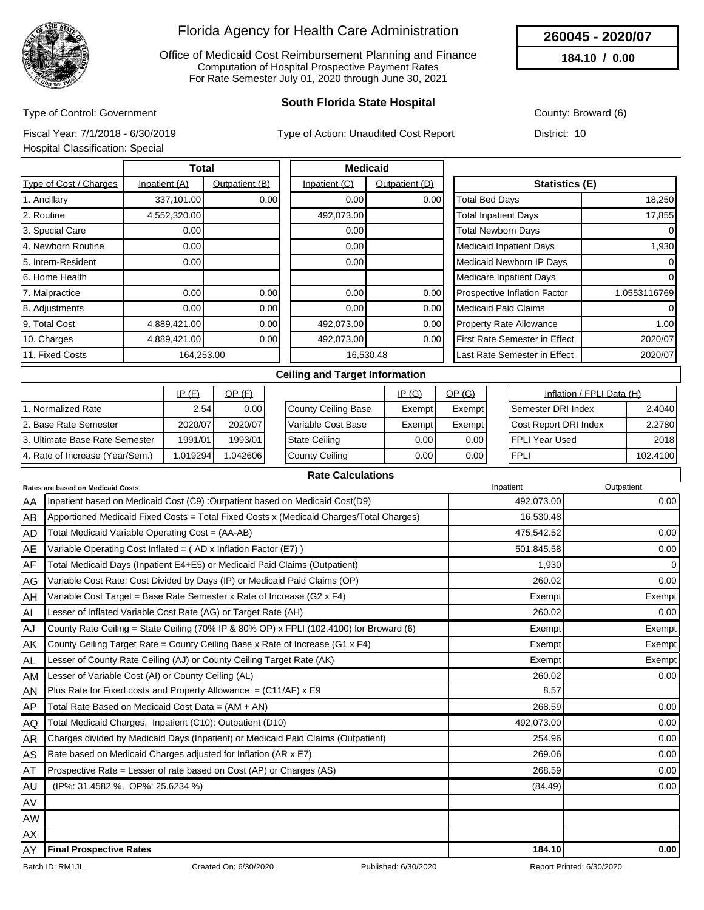

Office of Medicaid Cost Reimbursement Planning and Finance Computation of Hospital Prospective Payment Rates For Rate Semester July 01, 2020 through June 30, 2021

### **South Florida State Hospital**

County: Broward (6)

**260045 - 2020/07 184.10 / 0.00**

Type of Control: Government Fiscal Year: 7/1/2018 - 6/30/2019

Type of Action: Unaudited Cost Report

Hospital Classification: Special

District: 10

|                        | <b>Total</b>  |                |               | <b>Medicaid</b> |                                         |              |  |
|------------------------|---------------|----------------|---------------|-----------------|-----------------------------------------|--------------|--|
| Type of Cost / Charges | Inpatient (A) | Outpatient (B) | Inpatient (C) | Outpatient (D)  | Statistics (E)                          |              |  |
| 1. Ancillary           | 337,101.00    | 0.00           | 0.00          | 0.00            | Total Bed Days                          | 18,250       |  |
| 2. Routine             | 4,552,320.00  |                | 492,073.00    |                 | <b>Total Inpatient Days</b>             | 17,855       |  |
| 3. Special Care        | 0.00          |                | 0.00          |                 | <b>Total Newborn Days</b>               | $\Omega$     |  |
| 4. Newborn Routine     | 0.00          |                | 0.00          |                 | <b>Medicaid Inpatient Days</b>          | 1,930        |  |
| 5. Intern-Resident     | 0.00          |                | 0.00          |                 | Medicaid Newborn IP Days                | 0            |  |
| 6. Home Health         |               |                |               |                 | Medicare Inpatient Days                 | 0            |  |
| 7. Malpractice         | 0.00          | 0.00           | 0.00          | 0.00            | <b>Prospective Inflation Factor</b>     | 1.0553116769 |  |
| 8. Adjustments         | 0.001         | 0.00           | 0.00          | 0.00            | <b>Medicaid Paid Claims</b>             | $\Omega$     |  |
| 9. Total Cost          | 4,889,421.00  | 0.00           | 492,073.00    | 0.00            | <b>Property Rate Allowance</b>          | 1.00         |  |
| 10. Charges            | 4,889,421.00  | 0.00           | 492,073.00    | 0.00            | First Rate Semester in Effect           | 2020/07      |  |
| 11. Fixed Costs        | 164,253.00    |                |               | 16,530.48       | Last Rate Semester in Effect<br>2020/07 |              |  |

|                                 | IP(F)    | OP (F)  |               |                      | IP(G)  | <u>OP (G)</u> | Inflation / FPLI Data (H)    |          |
|---------------------------------|----------|---------|---------------|----------------------|--------|---------------|------------------------------|----------|
| . Normalized Rate               | 2.54     | 0.001   |               | County Ceiling Base  | Exempt | Exempt        | Semester DRI Index           | 2.4040   |
| 12. Base Rate Semester          | 2020/07  | 2020/07 |               | l Variable Cost Base | Exempt | Exempt        | <b>Cost Report DRI Index</b> | 2.2780   |
| 13. Ultimate Base Rate Semester | 1991/01  | 1993/01 | State Ceiling |                      | 0.001  | 0.001         | FPLI Year Used               | 2018     |
| 4. Rate of Increase (Year/Sem.) | 1.019294 | .042606 |               | County Ceiling       | 0.001  | 0.00 l        | FPLI                         | 102.4100 |

|           | <b>Rate Calculations</b>                                                                |            |                |
|-----------|-----------------------------------------------------------------------------------------|------------|----------------|
|           | <b>Rates are based on Medicaid Costs</b>                                                | Inpatient  | Outpatient     |
| AA        | Inpatient based on Medicaid Cost (C9) : Outpatient based on Medicaid Cost(D9)           | 492,073.00 | 0.00           |
| AB        | Apportioned Medicaid Fixed Costs = Total Fixed Costs x (Medicaid Charges/Total Charges) | 16,530.48  |                |
| AD.       | Total Medicaid Variable Operating Cost = (AA-AB)                                        | 475,542.52 | 0.00           |
| AE        | Variable Operating Cost Inflated = (AD x Inflation Factor (E7))                         | 501,845.58 | 0.00           |
| AF        | Total Medicaid Days (Inpatient E4+E5) or Medicaid Paid Claims (Outpatient)              | 1,930      | $\overline{0}$ |
| AG        | Variable Cost Rate: Cost Divided by Days (IP) or Medicaid Paid Claims (OP)              | 260.02     | 0.00           |
| AH        | Variable Cost Target = Base Rate Semester x Rate of Increase (G2 x F4)                  | Exempt     | Exempt         |
| AI        | Lesser of Inflated Variable Cost Rate (AG) or Target Rate (AH)                          | 260.02     | 0.00           |
| AJ        | County Rate Ceiling = State Ceiling (70% IP & 80% OP) x FPLI (102.4100) for Broward (6) | Exempt     | Exempt         |
| AK        | County Ceiling Target Rate = County Ceiling Base x Rate of Increase (G1 x F4)           | Exempt     | Exempt         |
| <b>AL</b> | Lesser of County Rate Ceiling (AJ) or County Ceiling Target Rate (AK)                   | Exempt     | Exempt         |
| <b>AM</b> | Lesser of Variable Cost (AI) or County Ceiling (AL)                                     | 260.02     | 0.00           |
| <b>AN</b> | Plus Rate for Fixed costs and Property Allowance = $(C11/AF)$ x E9                      | 8.57       |                |
| AP        | Total Rate Based on Medicaid Cost Data = $(AM + AN)$                                    | 268.59     | 0.00           |
| AQ.       | Total Medicaid Charges, Inpatient (C10): Outpatient (D10)                               | 492,073.00 | 0.00           |
| <b>AR</b> | Charges divided by Medicaid Days (Inpatient) or Medicaid Paid Claims (Outpatient)       | 254.96     | 0.00           |
| AS        | Rate based on Medicaid Charges adjusted for Inflation (AR x E7)                         | 269.06     | 0.00           |
| AT        | Prospective Rate = Lesser of rate based on Cost (AP) or Charges (AS)                    | 268.59     | 0.00           |
| AU        | (IP%: 31.4582 %, OP%: 25.6234 %)                                                        | (84.49)    | 0.00           |
| AV        |                                                                                         |            |                |
| AW        |                                                                                         |            |                |
| AX        |                                                                                         |            |                |
| AY        | <b>Final Prospective Rates</b>                                                          | 184.10     | 0.00           |